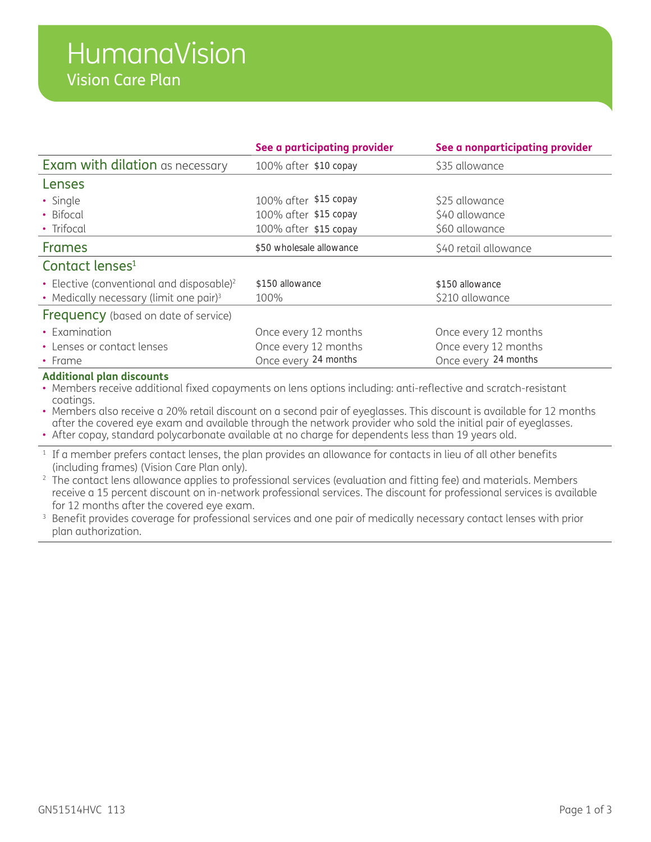|                                                       | See a participating provider       | See a nonparticipating provider |  |
|-------------------------------------------------------|------------------------------------|---------------------------------|--|
| <b>Exam with dilation</b> as necessary                | 100% after \$10 copay              | \$35 allowance                  |  |
| Lenses                                                |                                    |                                 |  |
| • Single                                              | 100% after \$15 copay              | \$25 allowance                  |  |
| • Bifocal                                             | 100% after \$15 copay              | \$40 allowance                  |  |
| • Trifocal                                            | 100% after \$15 copay              | \$60 allowance                  |  |
| <b>Frames</b>                                         | \$50 wholesale allowance           | \$40 retail allowance           |  |
| Contact lenses <sup>1</sup>                           |                                    |                                 |  |
| • Elective (conventional and disposable) <sup>2</sup> | \$150 allowance<br>\$150 allowance |                                 |  |
| • Medically necessary (limit one pair) <sup>3</sup>   | 100%                               | \$210 allowance                 |  |
| <b>Frequency</b> (based on date of service)           |                                    |                                 |  |
| • Examination                                         | Once every 12 months               | Once every 12 months            |  |
| • Lenses or contact lenses                            | Once every 12 months               | Once every 12 months            |  |
| $\cdot$ Frame                                         | Once every 24 months               | Once every 24 months            |  |

#### **Additional plan discounts**

• Members receive additional fixed copayments on lens options including: anti-reflective and scratch-resistant coatings.

• Members also receive a 20% retail discount on a second pair of eyeglasses. This discount is available for 12 months after the covered eye exam and available through the network provider who sold the initial pair of eyeglasses.

• After copay, standard polycarbonate available at no charge for dependents less than 19 years old.

<sup>1</sup> If a member prefers contact lenses, the plan provides an allowance for contacts in lieu of all other benefits (including frames) (Vision Care Plan only).

- <sup>2</sup> The contact lens allowance applies to professional services (evaluation and fitting fee) and materials. Members receive a 15 percent discount on in-network professional services. The discount for professional services is available for 12 months after the covered eye exam.
- <sup>3</sup> Benefit provides coverage for professional services and one pair of medically necessary contact lenses with prior plan authorization.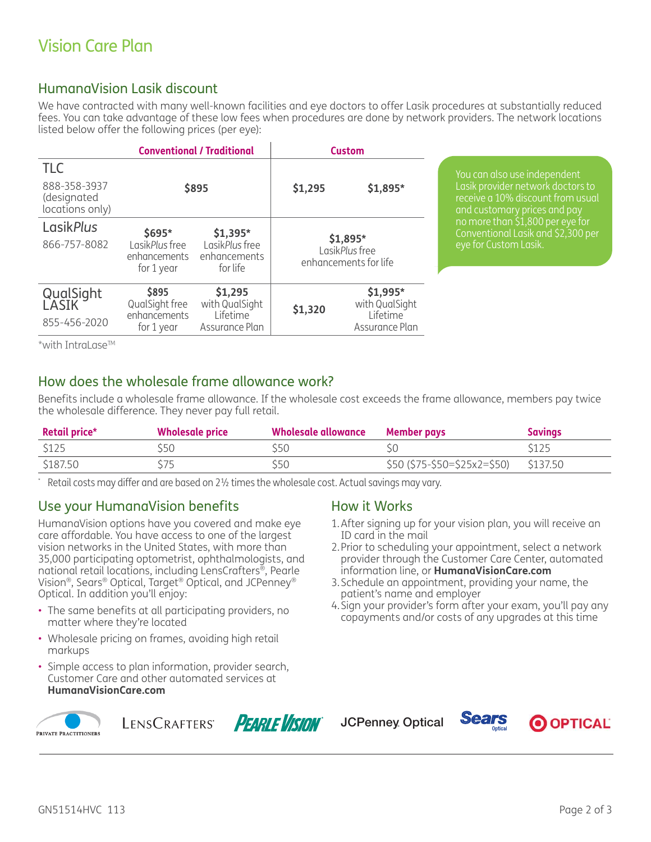# HumanaVision Lasik discount

We have contracted with many well-known facilities and eye doctors to offer Lasik procedures at substantially reduced fees. You can take advantage of these low fees when procedures are done by network providers. The network locations listed below offer the following prices (per eye):

| <b>Conventional / Traditional</b>              |                                              |                                            | <b>Custom</b>                                       |                            |
|------------------------------------------------|----------------------------------------------|--------------------------------------------|-----------------------------------------------------|----------------------------|
| <b>TLC</b>                                     |                                              |                                            |                                                     |                            |
| 888-358-3937<br>(designated<br>locations only) |                                              | \$895                                      | \$1,295                                             | \$1,895*                   |
| <b>LasikPlus</b>                               | $$695*$                                      | $$1,395*$                                  |                                                     |                            |
| 866-757-8082                                   | LasikPlus free<br>enhancements<br>for 1 year | LasikPlus free<br>enhancements<br>for life | \$1,895*<br>LasikPlus free<br>enhancements for life |                            |
| QualSight<br>LASIK                             | \$895<br>QualSight free                      | \$1,295<br>with QualSight                  | \$1,320                                             | \$1,995*<br>with QualSight |
| 855-456-2020                                   | enhancements<br>for 1 year                   | Lifetime<br>Assurance Plan                 |                                                     | Lifetime<br>Assurance Plan |

You can also use independent Lasik provider network doctors to receive a 10% discount from usual and customary prices and pay no more than \$1,800 per eye for Conventional Lasik and \$2,300 per

\*with IntraLase<sup>TM</sup>

### How does the wholesale frame allowance work?

Benefits include a wholesale frame allowance. If the wholesale cost exceeds the frame allowance, members pay twice the wholesale difference. They never pay full retail.

| <b>Retail price*</b> | <b>Wholesale price</b> | Wholesale allowance | Member pays                           | Savings |
|----------------------|------------------------|---------------------|---------------------------------------|---------|
| \$125                | 550                    | 550                 |                                       | \$125   |
| \$187.50             |                        | S50                 | \$50 (\$75-\$50=\$25x2=\$50) \$137.50 |         |

\* Retail costs may differ and are based on 2½ times the wholesale cost. Actual savings may vary.

#### Use your HumanaVision benefits

HumanaVision options have you covered and make eye care affordable. You have access to one of the largest vision networks in the United States, with more than 35,000 participating optometrist, ophthalmologists, and national retail locations, including LensCrafters®, Pearle Vision®, Sears® Optical, Target® Optical, and JCPenney® Optical. In addition you'll enjoy:

- The same benefits at all participating providers, no matter where they're located
- Wholesale pricing on frames, avoiding high retail markups
- Simple access to plan information, provider search, Customer Care and other automated services at **HumanaVisionCare.com**



LENSCRAFTERS **PEARLE VISINN** 



#### How it Works

**JCPenney** Optical

- 1. After signing up for your vision plan, you will receive an ID card in the mail
- 2. Prior to scheduling your appointment, select a network provider through the Customer Care Center, automated information line, or **HumanaVisionCare.com**
- 3. Schedule an appointment, providing your name, the patient's name and employer
- 4. Sign your provider's form after your exam, you'll pay any copayments and/or costs of any upgrades at this time

*Sears* 

O OPTICAL